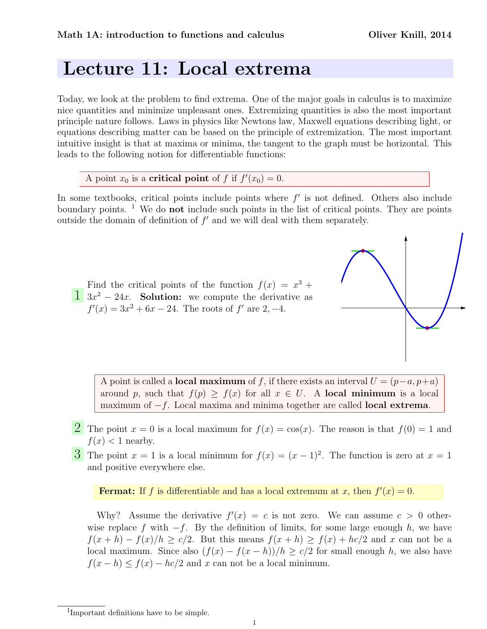## Lecture 11: Local extrema

Today, we look at the problem to find extrema. One of the major goals in calculus is to maximize nice quantities and minimize unpleasant ones. Extremizing quantities is also the most important principle nature follows. Laws in physics like Newtons law, Maxwell equations describing light, or equations describing matter can be based on the principle of extremization. The most important intuitive insight is that at maxima or minima, the tangent to the graph must be horizontal. This leads to the following notion for differentiable functions:

A point  $x_0$  is a **critical point** of f if  $f'(x_0) = 0$ .

In some textbooks, critical points include points where  $f'$  is not defined. Others also include boundary points. <sup>1</sup> We do **not** include such points in the list of critical points. They are points outside the domain of definition of  $f'$  and we will deal with them separately.

 $\frac{1}{2}$  3x<sup>2</sup> – 24x. Solution: we compute the derivative as Find the critical points of the function  $f(x) = x^3 +$  $f'(x) = 3x^2 + 6x - 24$ . The roots of f' are 2, -4.

> A point is called a **local maximum** of f, if there exists an interval  $U = (p-a, p+a)$ around p, such that  $f(p) > f(x)$  for all  $x \in U$ . A local minimum is a local maximum of −f. Local maxima and minima together are called **local extrema**.

- **2** The point  $x = 0$  is a local maximum for  $f(x) = \cos(x)$ . The reason is that  $f(0) = 1$  and  $f(x)$  < 1 nearby.
- **3** The point  $x = 1$  is a local minimum for  $f(x) = (x 1)^2$ . The function is zero at  $x = 1$ and positive everywhere else.

**Fermat:** If f is differentiable and has a local extremum at x, then  $f'(x) = 0$ .

Why? Assume the derivative  $f'(x) = c$  is not zero. We can assume  $c > 0$  otherwise replace f with  $-f$ . By the definition of limits, for some large enough h, we have  $f(x+h) - f(x)/h \ge c/2$ . But this means  $f(x+h) \ge f(x) + hc/2$  and x can not be a local maximum. Since also  $(f(x) - f(x - h))/h \ge c/2$  for small enough h, we also have  $f(x-h) \le f(x) - hc/2$  and x can not be a local minimum.

<sup>1</sup> Important definitions have to be simple.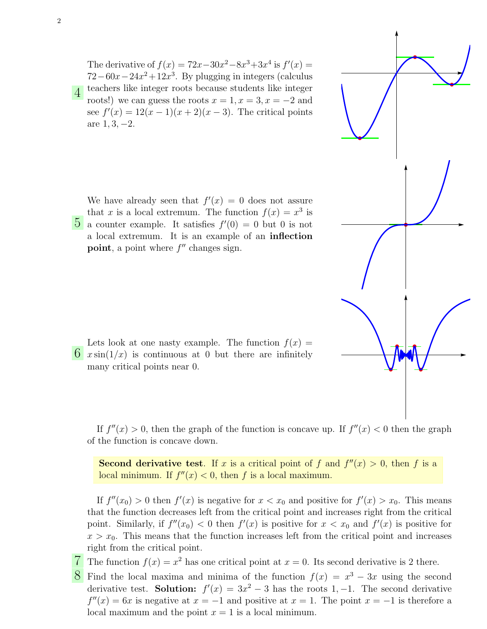The derivative of  $f(x) = 72x - 30x^2 - 8x^3 + 3x^4$  is  $f'(x) =$  $72-60x-24x^2+12x^3$ . By plugging in integers (calculus teachers like integer roots because students like integer roots!) we can guess the roots  $x = 1, x = 3, x = -2$  and see  $f'(x) = 12(x - 1)(x + 2)(x - 3)$ . The critical points are  $1, 3, -2$ .

 $\overline{5}$  a counter example. It satisfies  $f'(0) = 0$  but 0 is not We have already seen that  $f'(x) = 0$  does not assure that x is a local extremum. The function  $f(x) = x^3$  is a local extremum. It is an example of an inflection point, a point where  $f''$  changes sign.

 $\overrightarrow{6}$   $x \sin(1/x)$  is continuous at 0 but there are infinitely Lets look at one nasty example. The function  $f(x) =$ many critical points near 0.

If  $f''(x) > 0$ , then the graph of the function is concave up. If  $f''(x) < 0$  then the graph of the function is concave down.

**Second derivative test**. If x is a critical point of f and  $f''(x) > 0$ , then f is a local minimum. If  $f''(x) < 0$ , then f is a local maximum.

If  $f''(x_0) > 0$  then  $f'(x)$  is negative for  $x < x_0$  and positive for  $f'(x) > x_0$ . This means that the function decreases left from the critical point and increases right from the critical point. Similarly, if  $f''(x_0) < 0$  then  $f'(x)$  is positive for  $x < x_0$  and  $f'(x)$  is positive for  $x > x_0$ . This means that the function increases left from the critical point and increases right from the critical point.

The function  $f(x) = x^2$  has one critical point at  $x = 0$ . Its second derivative is 2 there.

8 Find the local maxima and minima of the function  $f(x) = x^3 - 3x$  using the second derivative test. Solution:  $f'(x) = 3x^2 - 3$  has the roots 1, -1. The second derivative  $f''(x) = 6x$  is negative at  $x = -1$  and positive at  $x = 1$ . The point  $x = -1$  is therefore a local maximum and the point  $x = 1$  is a local minimum.

4

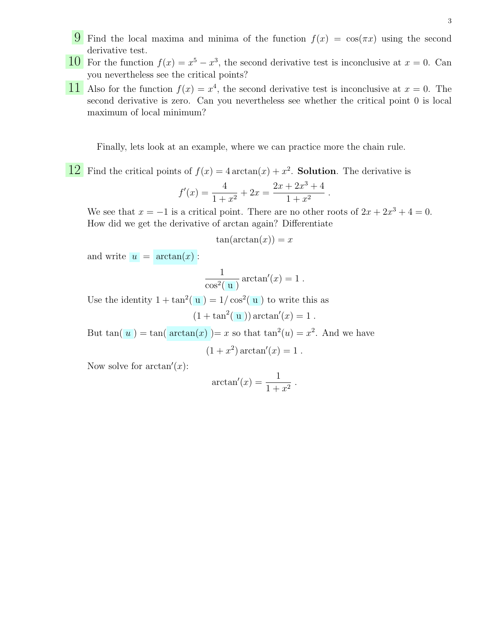- 9 Find the local maxima and minima of the function  $f(x) = \cos(\pi x)$  using the second derivative test.
- 10 For the function  $f(x) = x^5 x^3$ , the second derivative test is inconclusive at  $x = 0$ . Can you nevertheless see the critical points?
- 11 Also for the function  $f(x) = x^4$ , the second derivative test is inconclusive at  $x = 0$ . The second derivative is zero. Can you nevertheless see whether the critical point 0 is local maximum of local minimum?

Finally, lets look at an example, where we can practice more the chain rule.

 $\boxed{12}$  Find the critical points of  $f(x) = 4 \arctan(x) + x^2$ . **Solution**. The derivative is

$$
f'(x) = \frac{4}{1+x^2} + 2x = \frac{2x+2x^3+4}{1+x^2}
$$

We see that  $x = -1$  is a critical point. There are no other roots of  $2x + 2x^3 + 4 = 0$ . How did we get the derivative of arctan again? Differentiate

.

$$
\tan(\arctan(x)) = x
$$

and write  $u = \arctan(x)$ :

$$
\frac{1}{\cos^2(\mathbf{u})}\arctan'(x) = 1.
$$

Use the identity  $1 + \tan^2(u) = 1/\cos^2(u)$  to write this as

$$
(1 + \tan^2(u)) \arctan'(x) = 1.
$$

But  $tan(u) = tan(\arctan(x)) = x$  so that  $tan<sup>2</sup>(u) = x<sup>2</sup>$ . And we have

 $(1+x^2) \arctan'(x) = 1$ .

Now solve for  $arctan'(x)$ :

$$
\arctan'(x) = \frac{1}{1+x^2} .
$$